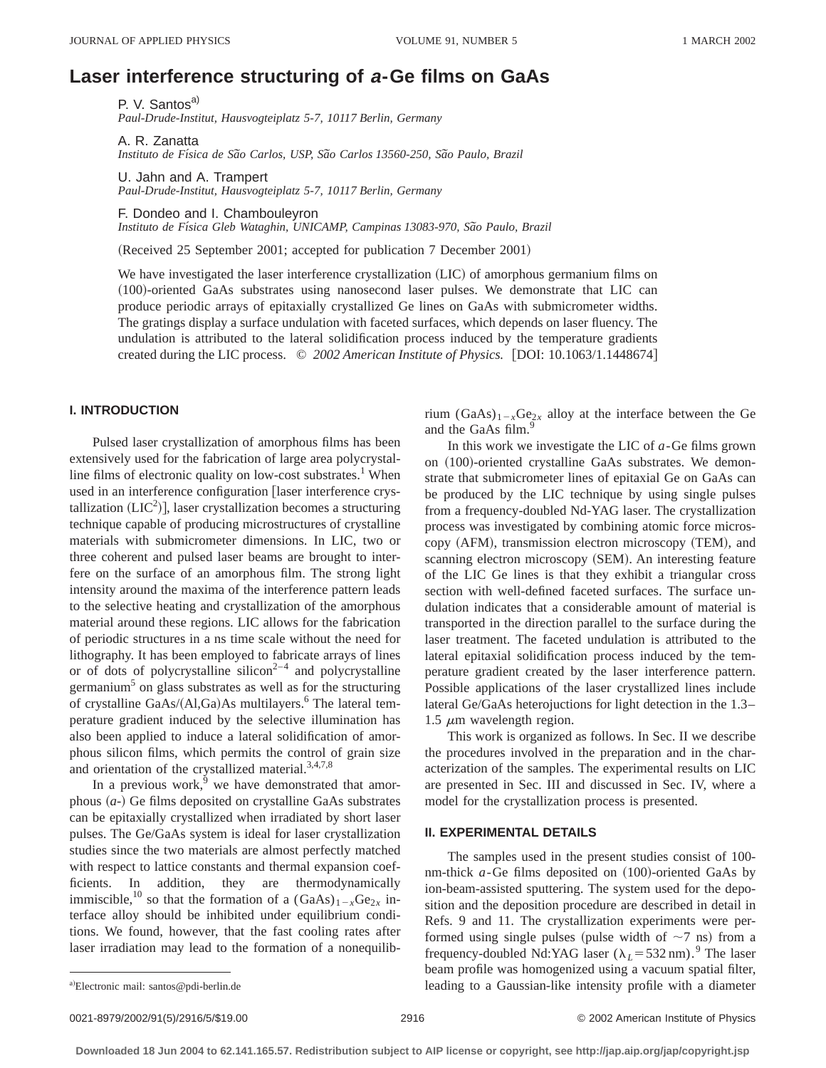# **Laser interference structuring of <sup>a</sup>-Ge films on GaAs**

P. V. Santos<sup>a)</sup> *Paul-Drude-Institut, Hausvogteiplatz 5-7, 10117 Berlin, Germany*

A. R. Zanatta *Instituto de Fı´sica de Sa˜o Carlos, USP, Sa˜o Carlos 13560-250, Sa˜o Paulo, Brazil*

U. Jahn and A. Trampert *Paul-Drude-Institut, Hausvogteiplatz 5-7, 10117 Berlin, Germany*

F. Dondeo and I. Chambouleyron Instituto de Física Gleb Wataghin, UNICAMP, Campinas 13083-970, São Paulo, Brazil

(Received 25 September 2001; accepted for publication 7 December 2001)

We have investigated the laser interference crystallization (LIC) of amorphous germanium films on (100)-oriented GaAs substrates using nanosecond laser pulses. We demonstrate that LIC can produce periodic arrays of epitaxially crystallized Ge lines on GaAs with submicrometer widths. The gratings display a surface undulation with faceted surfaces, which depends on laser fluency. The undulation is attributed to the lateral solidification process induced by the temperature gradients created during the LIC process. © 2002 American Institute of Physics. [DOI: 10.1063/1.1448674]

# **I. INTRODUCTION**

Pulsed laser crystallization of amorphous films has been extensively used for the fabrication of large area polycrystalline films of electronic quality on low-cost substrates.<sup>1</sup> When used in an interference configuration [laser interference crystallization  $(LIC^2)$ ], laser crystallization becomes a structuring technique capable of producing microstructures of crystalline materials with submicrometer dimensions. In LIC, two or three coherent and pulsed laser beams are brought to interfere on the surface of an amorphous film. The strong light intensity around the maxima of the interference pattern leads to the selective heating and crystallization of the amorphous material around these regions. LIC allows for the fabrication of periodic structures in a ns time scale without the need for lithography. It has been employed to fabricate arrays of lines or of dots of polycrystalline silicon<sup>2-4</sup> and polycrystalline germanium<sup>5</sup> on glass substrates as well as for the structuring of crystalline GaAs/ $(Al,Ga)$ As multilayers.<sup>6</sup> The lateral temperature gradient induced by the selective illumination has also been applied to induce a lateral solidification of amorphous silicon films, which permits the control of grain size and orientation of the crystallized material. $3,4,7,8$ 

In a previous work, $9$  we have demonstrated that amorphous  $(a<sub>-</sub>)$  Ge films deposited on crystalline GaAs substrates can be epitaxially crystallized when irradiated by short laser pulses. The Ge/GaAs system is ideal for laser crystallization studies since the two materials are almost perfectly matched with respect to lattice constants and thermal expansion coefficients. In addition, they are thermodynamically immiscible,<sup>10</sup> so that the formation of a  $(GaAs)_{1-x}Ge_{2x}$  interface alloy should be inhibited under equilibrium conditions. We found, however, that the fast cooling rates after laser irradiation may lead to the formation of a nonequilibrium  $(GaAs)_{1-x}Ge_{2x}$  alloy at the interface between the Ge and the GaAs film.<sup>9</sup>

In this work we investigate the LIC of *a*-Ge films grown on  $(100)$ -oriented crystalline GaAs substrates. We demonstrate that submicrometer lines of epitaxial Ge on GaAs can be produced by the LIC technique by using single pulses from a frequency-doubled Nd-YAG laser. The crystallization process was investigated by combining atomic force microscopy (AFM), transmission electron microscopy (TEM), and scanning electron microscopy (SEM). An interesting feature of the LIC Ge lines is that they exhibit a triangular cross section with well-defined faceted surfaces. The surface undulation indicates that a considerable amount of material is transported in the direction parallel to the surface during the laser treatment. The faceted undulation is attributed to the lateral epitaxial solidification process induced by the temperature gradient created by the laser interference pattern. Possible applications of the laser crystallized lines include lateral Ge/GaAs heterojuctions for light detection in the 1.3– 1.5  $\mu$ m wavelength region.

This work is organized as follows. In Sec. II we describe the procedures involved in the preparation and in the characterization of the samples. The experimental results on LIC are presented in Sec. III and discussed in Sec. IV, where a model for the crystallization process is presented.

# **II. EXPERIMENTAL DETAILS**

The samples used in the present studies consist of 100 nm-thick  $a$ -Ge films deposited on  $(100)$ -oriented GaAs by ion-beam-assisted sputtering. The system used for the deposition and the deposition procedure are described in detail in Refs. 9 and 11. The crystallization experiments were performed using single pulses (pulse width of  $\sim$ 7 ns) from a frequency-doubled Nd:YAG laser ( $\lambda_L$ =532 nm).<sup>9</sup> The laser beam profile was homogenized using a vacuum spatial filter, leading to a Gaussian-like intensity profile with a diameter

a)Electronic mail: santos@pdi-berlin.de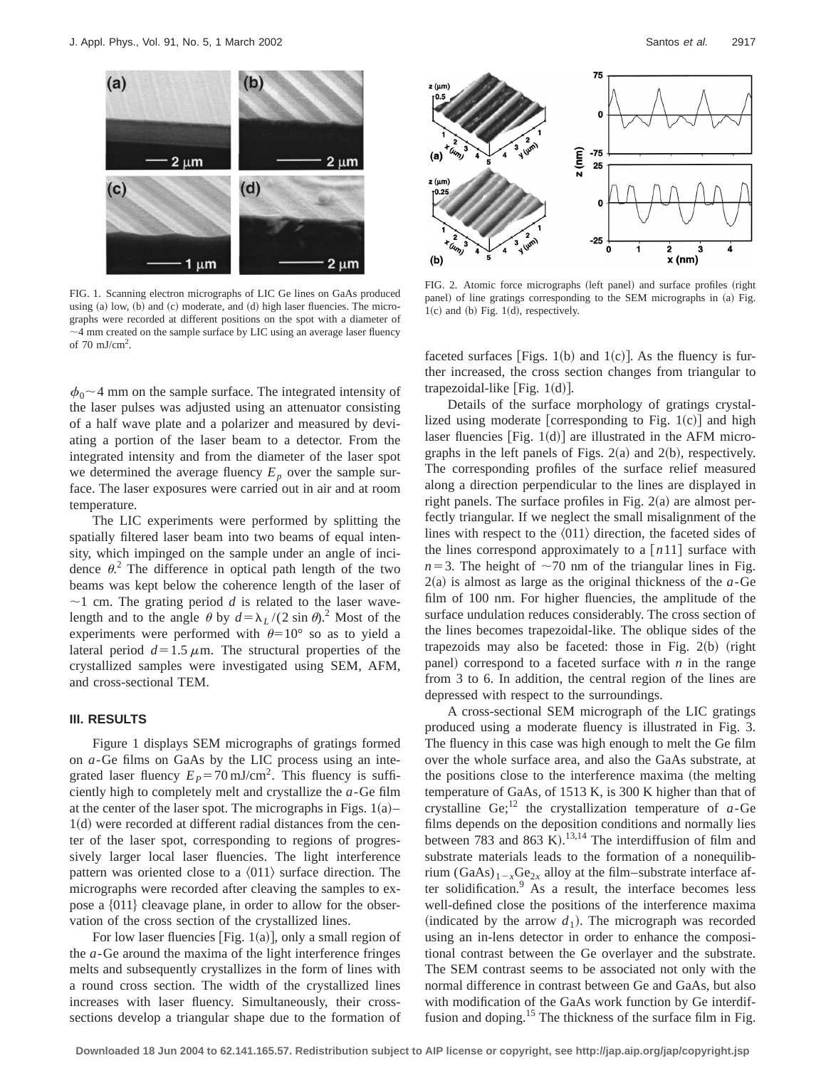

FIG. 1. Scanning electron micrographs of LIC Ge lines on GaAs produced using  $(a)$  low,  $(b)$  and  $(c)$  moderate, and  $(d)$  high laser fluencies. The micrographs were recorded at different positions on the spot with a diameter of  $\sim$ 4 mm created on the sample surface by LIC using an average laser fluency of  $70 \text{ mJ/cm}^2$ .

 $\phi_0$  ~ 4 mm on the sample surface. The integrated intensity of the laser pulses was adjusted using an attenuator consisting of a half wave plate and a polarizer and measured by deviating a portion of the laser beam to a detector. From the integrated intensity and from the diameter of the laser spot we determined the average fluency  $E_p$  over the sample surface. The laser exposures were carried out in air and at room temperature.

The LIC experiments were performed by splitting the spatially filtered laser beam into two beams of equal intensity, which impinged on the sample under an angle of incidence  $\theta$ <sup>2</sup>. The difference in optical path length of the two beams was kept below the coherence length of the laser of  $\sim$ 1 cm. The grating period *d* is related to the laser wavelength and to the angle  $\theta$  by  $d = \lambda_L / (2 \sin \theta)^2$ . Most of the experiments were performed with  $\theta=10^{\circ}$  so as to yield a lateral period  $d=1.5 \mu$ m. The structural properties of the crystallized samples were investigated using SEM, AFM, and cross-sectional TEM.

## **III. RESULTS**

Figure 1 displays SEM micrographs of gratings formed on *a*-Ge films on GaAs by the LIC process using an integrated laser fluency  $E_p = 70 \text{ mJ/cm}^2$ . This fluency is sufficiently high to completely melt and crystallize the *a*-Ge film at the center of the laser spot. The micrographs in Figs.  $1(a)$ –  $1(d)$  were recorded at different radial distances from the center of the laser spot, corresponding to regions of progressively larger local laser fluencies. The light interference pattern was oriented close to a  $\langle 011 \rangle$  surface direction. The micrographs were recorded after cleaving the samples to expose a  $\{011\}$  cleavage plane, in order to allow for the observation of the cross section of the crystallized lines.

For low laser fluencies [Fig. 1(a)], only a small region of the *a*-Ge around the maxima of the light interference fringes melts and subsequently crystallizes in the form of lines with a round cross section. The width of the crystallized lines increases with laser fluency. Simultaneously, their crosssections develop a triangular shape due to the formation of



FIG. 2. Atomic force micrographs (left panel) and surface profiles (right panel) of line gratings corresponding to the SEM micrographs in (a) Fig.  $1(c)$  and  $(b)$  Fig.  $1(d)$ , respectively.

faceted surfaces [Figs. 1(b) and 1(c)]. As the fluency is further increased, the cross section changes from triangular to trapezoidal-like  $[Fig. 1(d)].$ 

Details of the surface morphology of gratings crystallized using moderate [corresponding to Fig.  $1(c)$ ] and high laser fluencies  $[Fig. 1(d)]$  are illustrated in the AFM micrographs in the left panels of Figs.  $2(a)$  and  $2(b)$ , respectively. The corresponding profiles of the surface relief measured along a direction perpendicular to the lines are displayed in right panels. The surface profiles in Fig.  $2(a)$  are almost perfectly triangular. If we neglect the small misalignment of the lines with respect to the  $\langle 011 \rangle$  direction, the faceted sides of the lines correspond approximately to a  $[n11]$  surface with  $n=3$ . The height of  $\sim$ 70 nm of the triangular lines in Fig.  $2(a)$  is almost as large as the original thickness of the  $a$ -Ge film of 100 nm. For higher fluencies, the amplitude of the surface undulation reduces considerably. The cross section of the lines becomes trapezoidal-like. The oblique sides of the trapezoids may also be faceted: those in Fig.  $2(b)$  (right panel) correspond to a faceted surface with  $n$  in the range from 3 to 6. In addition, the central region of the lines are depressed with respect to the surroundings.

A cross-sectional SEM micrograph of the LIC gratings produced using a moderate fluency is illustrated in Fig. 3. The fluency in this case was high enough to melt the Ge film over the whole surface area, and also the GaAs substrate, at the positions close to the interference maxima (the melting temperature of GaAs, of 1513 K, is 300 K higher than that of crystalline Ge;<sup>12</sup> the crystallization temperature of  $a$ -Ge films depends on the deposition conditions and normally lies between 783 and 863 K).<sup>13,14</sup> The interdiffusion of film and substrate materials leads to the formation of a nonequilibrium (GaAs)<sub>1-*x*Ge<sub>2*x*</sub> alloy at the film–substrate interface af-</sub> ter solidification.<sup>9</sup> As a result, the interface becomes less well-defined close the positions of the interference maxima (indicated by the arrow  $d_1$ ). The micrograph was recorded using an in-lens detector in order to enhance the compositional contrast between the Ge overlayer and the substrate. The SEM contrast seems to be associated not only with the normal difference in contrast between Ge and GaAs, but also with modification of the GaAs work function by Ge interdiffusion and doping.<sup>15</sup> The thickness of the surface film in Fig.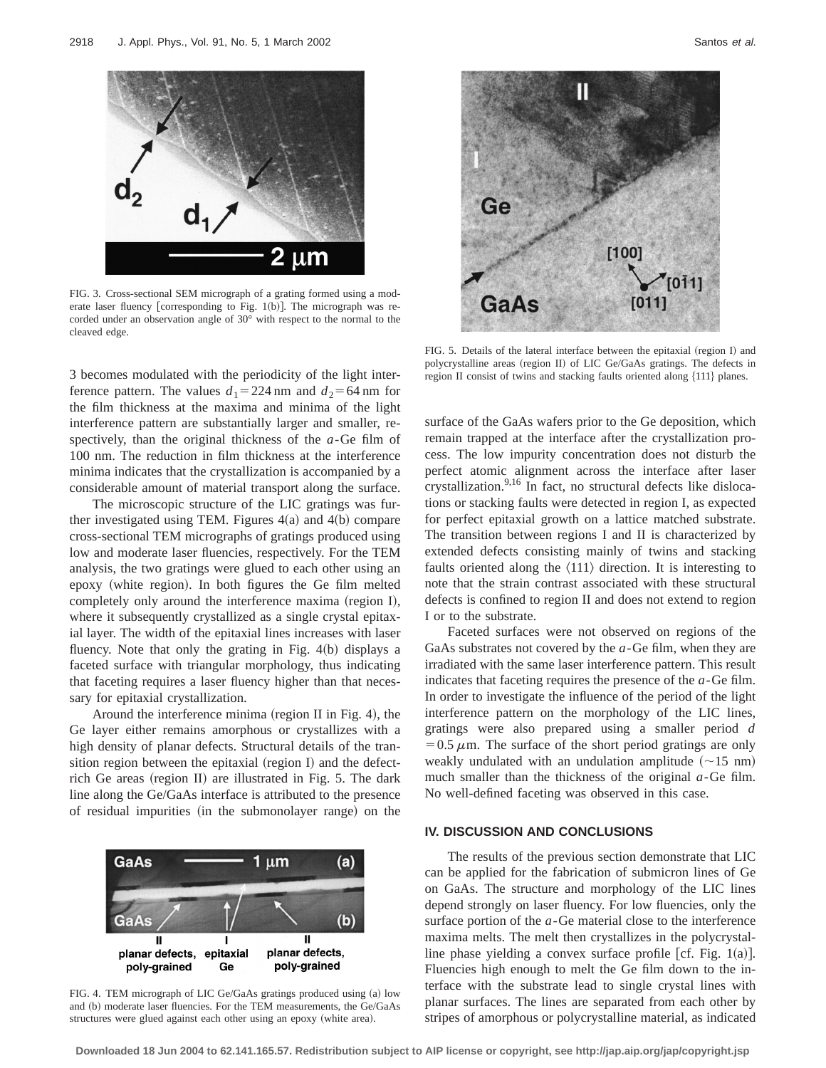

FIG. 3. Cross-sectional SEM micrograph of a grating formed using a moderate laser fluency [corresponding to Fig. 1(b)]. The micrograph was recorded under an observation angle of 30° with respect to the normal to the cleaved edge.

3 becomes modulated with the periodicity of the light interference pattern. The values  $d_1 = 224$  nm and  $d_2 = 64$  nm for the film thickness at the maxima and minima of the light interference pattern are substantially larger and smaller, respectively, than the original thickness of the *a*-Ge film of 100 nm. The reduction in film thickness at the interference minima indicates that the crystallization is accompanied by a considerable amount of material transport along the surface.

The microscopic structure of the LIC gratings was further investigated using TEM. Figures  $4(a)$  and  $4(b)$  compare cross-sectional TEM micrographs of gratings produced using low and moderate laser fluencies, respectively. For the TEM analysis, the two gratings were glued to each other using an epoxy (white region). In both figures the Ge film melted completely only around the interference maxima (region I), where it subsequently crystallized as a single crystal epitaxial layer. The width of the epitaxial lines increases with laser fluency. Note that only the grating in Fig.  $4(b)$  displays a faceted surface with triangular morphology, thus indicating that faceting requires a laser fluency higher than that necessary for epitaxial crystallization.

Around the interference minima (region II in Fig. 4), the Ge layer either remains amorphous or crystallizes with a high density of planar defects. Structural details of the transition region between the epitaxial (region I) and the defectrich Ge areas (region II) are illustrated in Fig.  $5$ . The dark line along the Ge/GaAs interface is attributed to the presence of residual impurities (in the submonolayer range) on the



FIG. 4. TEM micrograph of LIC Ge/GaAs gratings produced using (a) low and (b) moderate laser fluencies. For the TEM measurements, the Ge/GaAs structures were glued against each other using an epoxy (white area).



FIG. 5. Details of the lateral interface between the epitaxial (region I) and polycrystalline areas (region II) of LIC Ge/GaAs gratings. The defects in region II consist of twins and stacking faults oriented along  ${111}$  planes.

surface of the GaAs wafers prior to the Ge deposition, which remain trapped at the interface after the crystallization process. The low impurity concentration does not disturb the perfect atomic alignment across the interface after laser crystallization.<sup>9,16</sup> In fact, no structural defects like dislocations or stacking faults were detected in region I, as expected for perfect epitaxial growth on a lattice matched substrate. The transition between regions I and II is characterized by extended defects consisting mainly of twins and stacking faults oriented along the  $\langle 111 \rangle$  direction. It is interesting to note that the strain contrast associated with these structural defects is confined to region II and does not extend to region I or to the substrate.

Faceted surfaces were not observed on regions of the GaAs substrates not covered by the *a*-Ge film, when they are irradiated with the same laser interference pattern. This result indicates that faceting requires the presence of the *a*-Ge film. In order to investigate the influence of the period of the light interference pattern on the morphology of the LIC lines, gratings were also prepared using a smaller period *d*  $=0.5 \mu$ m. The surface of the short period gratings are only weakly undulated with an undulation amplitude  $(\sim 15 \text{ nm})$ much smaller than the thickness of the original *a*-Ge film. No well-defined faceting was observed in this case.

## **IV. DISCUSSION AND CONCLUSIONS**

The results of the previous section demonstrate that LIC can be applied for the fabrication of submicron lines of Ge on GaAs. The structure and morphology of the LIC lines depend strongly on laser fluency. For low fluencies, only the surface portion of the *a*-Ge material close to the interference maxima melts. The melt then crystallizes in the polycrystalline phase yielding a convex surface profile  $[cf. Fig. 1(a)].$ Fluencies high enough to melt the Ge film down to the interface with the substrate lead to single crystal lines with planar surfaces. The lines are separated from each other by stripes of amorphous or polycrystalline material, as indicated

**Downloaded 18 Jun 2004 to 62.141.165.57. Redistribution subject to AIP license or copyright, see http://jap.aip.org/jap/copyright.jsp**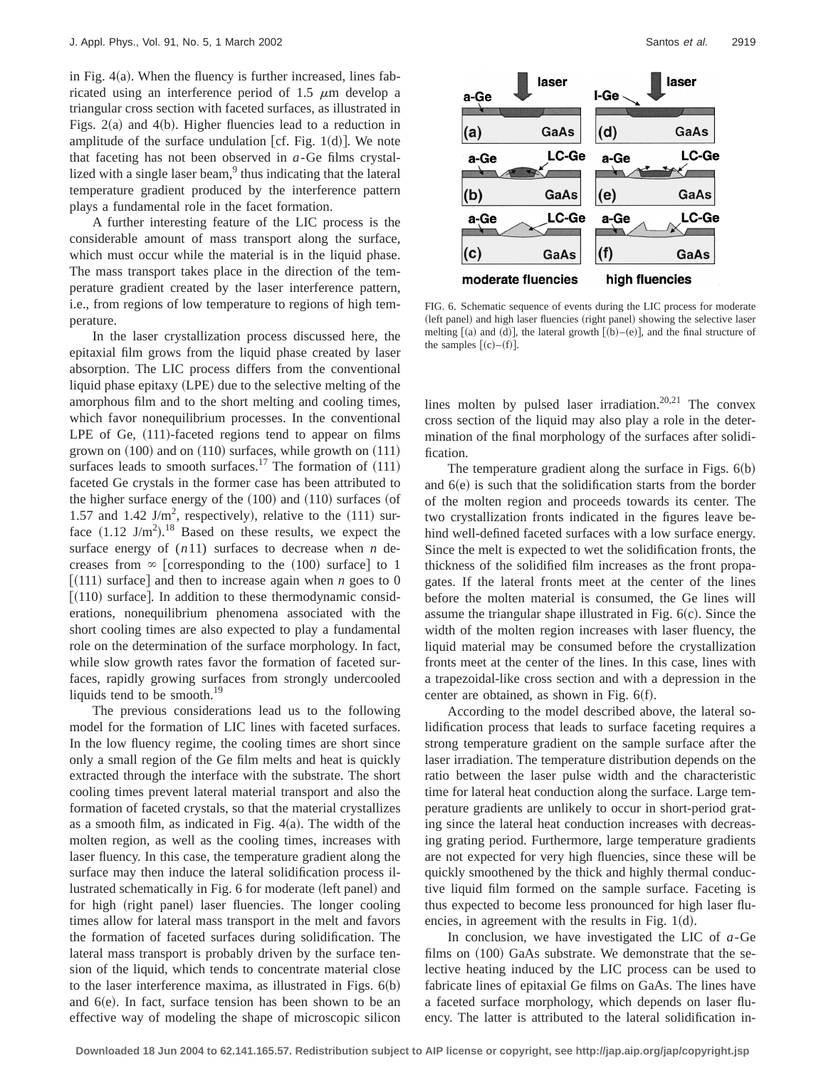in Fig.  $4(a)$ . When the fluency is further increased, lines fabricated using an interference period of 1.5  $\mu$ m develop a triangular cross section with faceted surfaces, as illustrated in Figs.  $2(a)$  and  $4(b)$ . Higher fluencies lead to a reduction in amplitude of the surface undulation [cf. Fig. 1 $(d)$ ]. We note that faceting has not been observed in *a*-Ge films crystallized with a single laser beam, $9$  thus indicating that the lateral temperature gradient produced by the interference pattern plays a fundamental role in the facet formation.

A further interesting feature of the LIC process is the considerable amount of mass transport along the surface, which must occur while the material is in the liquid phase. The mass transport takes place in the direction of the temperature gradient created by the laser interference pattern, i.e., from regions of low temperature to regions of high temperature.

In the laser crystallization process discussed here, the epitaxial film grows from the liquid phase created by laser absorption. The LIC process differs from the conventional liquid phase epitaxy (LPE) due to the selective melting of the amorphous film and to the short melting and cooling times, which favor nonequilibrium processes. In the conventional LPE of Ge,  $(111)$ -faceted regions tend to appear on films grown on  $(100)$  and on  $(110)$  surfaces, while growth on  $(111)$ surfaces leads to smooth surfaces.<sup>17</sup> The formation of  $(111)$ faceted Ge crystals in the former case has been attributed to the higher surface energy of the  $(100)$  and  $(110)$  surfaces (of 1.57 and 1.42 J/m<sup>2</sup>, respectively), relative to the  $(111)$  surface  $(1.12 \text{ J/m}^2)$ .<sup>18</sup> Based on these results, we expect the surface energy of (*n*11) surfaces to decrease when *n* decreases from  $\infty$  [corresponding to the (100) surface] to 1  $[(111)$  surface] and then to increase again when *n* goes to 0  $\lceil (110)$  surface. In addition to these thermodynamic considerations, nonequilibrium phenomena associated with the short cooling times are also expected to play a fundamental role on the determination of the surface morphology. In fact, while slow growth rates favor the formation of faceted surfaces, rapidly growing surfaces from strongly undercooled liquids tend to be smooth. $^{19}$ 

The previous considerations lead us to the following model for the formation of LIC lines with faceted surfaces. In the low fluency regime, the cooling times are short since only a small region of the Ge film melts and heat is quickly extracted through the interface with the substrate. The short cooling times prevent lateral material transport and also the formation of faceted crystals, so that the material crystallizes as a smooth film, as indicated in Fig.  $4(a)$ . The width of the molten region, as well as the cooling times, increases with laser fluency. In this case, the temperature gradient along the surface may then induce the lateral solidification process illustrated schematically in Fig. 6 for moderate (left panel) and for high (right panel) laser fluencies. The longer cooling times allow for lateral mass transport in the melt and favors the formation of faceted surfaces during solidification. The lateral mass transport is probably driven by the surface tension of the liquid, which tends to concentrate material close to the laser interference maxima, as illustrated in Figs.  $6(b)$ and  $6(e)$ . In fact, surface tension has been shown to be an effective way of modeling the shape of microscopic silicon



FIG. 6. Schematic sequence of events during the LIC process for moderate (left panel) and high laser fluencies (right panel) showing the selective laser melting  $[(a)$  and  $(d)]$ , the lateral growth  $[(b)-(e)]$ , and the final structure of the samples  $[(c)-(f)].$ 

lines molten by pulsed laser irradiation.<sup>20,21</sup> The convex cross section of the liquid may also play a role in the determination of the final morphology of the surfaces after solidification.

The temperature gradient along the surface in Figs.  $6(b)$ and  $6(e)$  is such that the solidification starts from the border of the molten region and proceeds towards its center. The two crystallization fronts indicated in the figures leave behind well-defined faceted surfaces with a low surface energy. Since the melt is expected to wet the solidification fronts, the thickness of the solidified film increases as the front propagates. If the lateral fronts meet at the center of the lines before the molten material is consumed, the Ge lines will assume the triangular shape illustrated in Fig.  $6(c)$ . Since the width of the molten region increases with laser fluency, the liquid material may be consumed before the crystallization fronts meet at the center of the lines. In this case, lines with a trapezoidal-like cross section and with a depression in the center are obtained, as shown in Fig.  $6(f)$ .

According to the model described above, the lateral solidification process that leads to surface faceting requires a strong temperature gradient on the sample surface after the laser irradiation. The temperature distribution depends on the ratio between the laser pulse width and the characteristic time for lateral heat conduction along the surface. Large temperature gradients are unlikely to occur in short-period grating since the lateral heat conduction increases with decreasing grating period. Furthermore, large temperature gradients are not expected for very high fluencies, since these will be quickly smoothened by the thick and highly thermal conductive liquid film formed on the sample surface. Faceting is thus expected to become less pronounced for high laser fluencies, in agreement with the results in Fig.  $1(d)$ .

In conclusion, we have investigated the LIC of *a*-Ge films on  $(100)$  GaAs substrate. We demonstrate that the selective heating induced by the LIC process can be used to fabricate lines of epitaxial Ge films on GaAs. The lines have a faceted surface morphology, which depends on laser fluency. The latter is attributed to the lateral solidification in